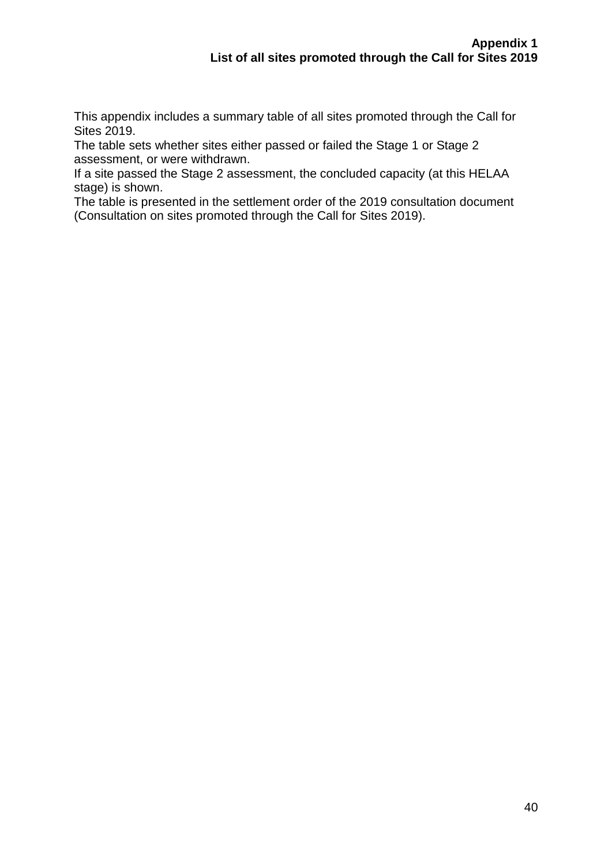This appendix includes a summary table of all sites promoted through the Call for Sites 2019.

The table sets whether sites either passed or failed the Stage 1 or Stage 2 assessment, or were withdrawn.

If a site passed the Stage 2 assessment, the concluded capacity (at this HELAA stage) is shown.

The table is presented in the settlement order of the 2019 consultation document (Consultation on sites promoted through the Call for Sites 2019).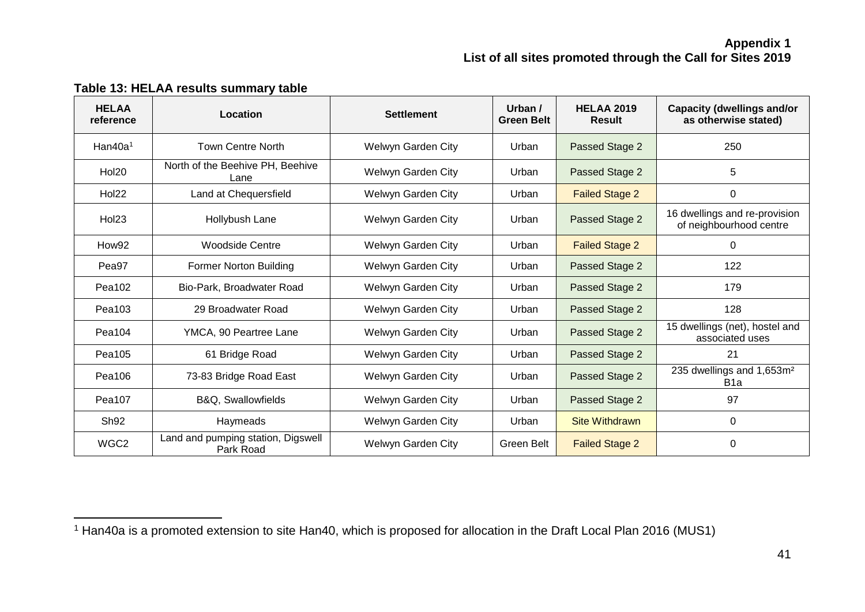| <b>HELAA</b><br>reference | Location                                        | <b>Settlement</b>  | Urban /<br><b>Green Belt</b> | <b>HELAA 2019</b><br><b>Result</b> | <b>Capacity (dwellings and/or</b><br>as otherwise stated) |
|---------------------------|-------------------------------------------------|--------------------|------------------------------|------------------------------------|-----------------------------------------------------------|
| Han40a <sup>1</sup>       | <b>Town Centre North</b>                        | Welwyn Garden City | Urban                        | Passed Stage 2                     | 250                                                       |
| Hol20                     | North of the Beehive PH, Beehive<br>Lane        | Welwyn Garden City | Urban                        | Passed Stage 2                     | 5                                                         |
| Hol22                     | Land at Chequersfield                           | Welwyn Garden City | Urban                        | <b>Failed Stage 2</b>              | 0                                                         |
| Hol23                     | Hollybush Lane                                  | Welwyn Garden City | Urban                        | Passed Stage 2                     | 16 dwellings and re-provision<br>of neighbourhood centre  |
| How92                     | Woodside Centre                                 | Welwyn Garden City | Urban                        | <b>Failed Stage 2</b>              | 0                                                         |
| Pea97                     | Former Norton Building                          | Welwyn Garden City | Urban                        | Passed Stage 2                     | 122                                                       |
| Pea102                    | Bio-Park, Broadwater Road                       | Welwyn Garden City | Urban                        | Passed Stage 2                     | 179                                                       |
| Pea103                    | 29 Broadwater Road                              | Welwyn Garden City | Urban                        | Passed Stage 2                     | 128                                                       |
| Pea104                    | YMCA, 90 Peartree Lane                          | Welwyn Garden City | Urban                        | Passed Stage 2                     | 15 dwellings (net), hostel and<br>associated uses         |
| Pea105                    | 61 Bridge Road                                  | Welwyn Garden City | Urban                        | Passed Stage 2                     | 21                                                        |
| Pea106                    | 73-83 Bridge Road East                          | Welwyn Garden City | Urban                        | Passed Stage 2                     | 235 dwellings and 1,653m <sup>2</sup><br>B <sub>1</sub> a |
| Pea107                    | B&Q, Swallowfields                              | Welwyn Garden City | Urban                        | Passed Stage 2                     | 97                                                        |
| Sh <sub>92</sub>          | Haymeads                                        | Welwyn Garden City | Urban                        | <b>Site Withdrawn</b>              | 0                                                         |
| WGC <sub>2</sub>          | Land and pumping station, Digswell<br>Park Road | Welwyn Garden City | Green Belt                   | <b>Failed Stage 2</b>              | 0                                                         |

# **Table 13: HELAA results summary table**

 $\overline{a}$ 

<sup>&</sup>lt;sup>1</sup> Han40a is a promoted extension to site Han40, which is proposed for allocation in the Draft Local Plan 2016 (MUS1)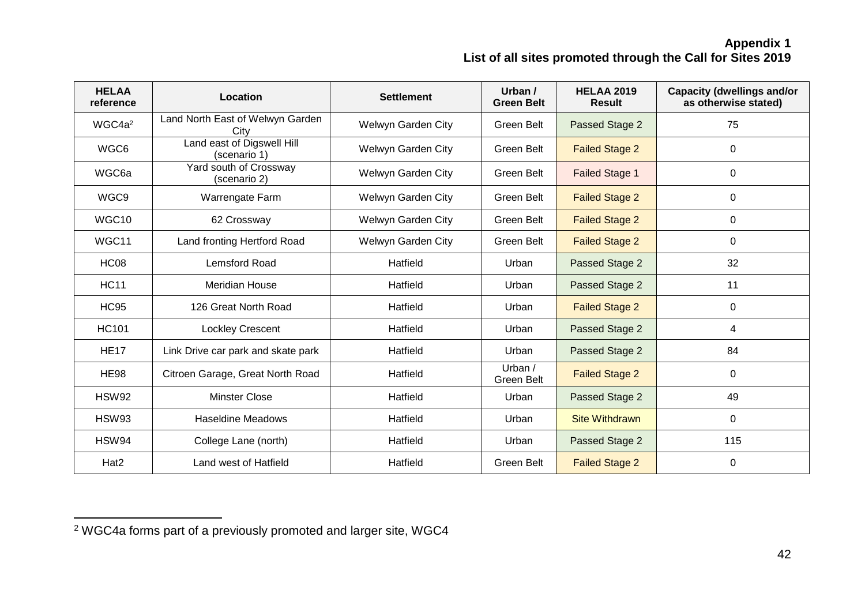| <b>HELAA</b><br>reference | Location                                   | <b>Settlement</b>  | Urban /<br><b>Green Belt</b> | <b>HELAA 2019</b><br><b>Result</b> | <b>Capacity (dwellings and/or</b><br>as otherwise stated) |
|---------------------------|--------------------------------------------|--------------------|------------------------------|------------------------------------|-----------------------------------------------------------|
| WGC4a <sup>2</sup>        | Land North East of Welwyn Garden<br>City   | Welwyn Garden City | Green Belt                   | Passed Stage 2                     | 75                                                        |
| WGC6                      | Land east of Digswell Hill<br>(scenario 1) | Welwyn Garden City | Green Belt                   | <b>Failed Stage 2</b>              | 0                                                         |
| WGC6a                     | Yard south of Crossway<br>(scenario 2)     | Welwyn Garden City | Green Belt                   | <b>Failed Stage 1</b>              | 0                                                         |
| WGC9                      | Warrengate Farm                            | Welwyn Garden City | <b>Green Belt</b>            | <b>Failed Stage 2</b>              | 0                                                         |
| WGC10                     | 62 Crossway                                | Welwyn Garden City | Green Belt                   | <b>Failed Stage 2</b>              | 0                                                         |
| WGC11                     | Land fronting Hertford Road                | Welwyn Garden City | Green Belt                   | <b>Failed Stage 2</b>              | 0                                                         |
| <b>HC08</b>               | <b>Lemsford Road</b>                       | Hatfield           | Urban                        | Passed Stage 2                     | 32                                                        |
| <b>HC11</b>               | <b>Meridian House</b>                      | Hatfield           | Urban                        | Passed Stage 2                     | 11                                                        |
| <b>HC95</b>               | 126 Great North Road                       | Hatfield           | Urban                        | <b>Failed Stage 2</b>              | 0                                                         |
| <b>HC101</b>              | <b>Lockley Crescent</b>                    | Hatfield           | Urban                        | Passed Stage 2                     | 4                                                         |
| <b>HE17</b>               | Link Drive car park and skate park         | Hatfield           | Urban                        | <b>Passed Stage 2</b>              | 84                                                        |
| <b>HE98</b>               | Citroen Garage, Great North Road           | Hatfield           | Urban /<br><b>Green Belt</b> | <b>Failed Stage 2</b>              | 0                                                         |
| <b>HSW92</b>              | <b>Minster Close</b>                       | Hatfield           | Urban                        | Passed Stage 2                     | 49                                                        |
| HSW93                     | Haseldine Meadows                          | Hatfield           | Urban                        | <b>Site Withdrawn</b>              | 0                                                         |
| HSW94                     | College Lane (north)                       | Hatfield           | Urban                        | Passed Stage 2                     | 115                                                       |
| Hat <sub>2</sub>          | Land west of Hatfield                      | Hatfield           | Green Belt                   | <b>Failed Stage 2</b>              | 0                                                         |

 $\overline{a}$  $2$  WGC4a forms part of a previously promoted and larger site, WGC4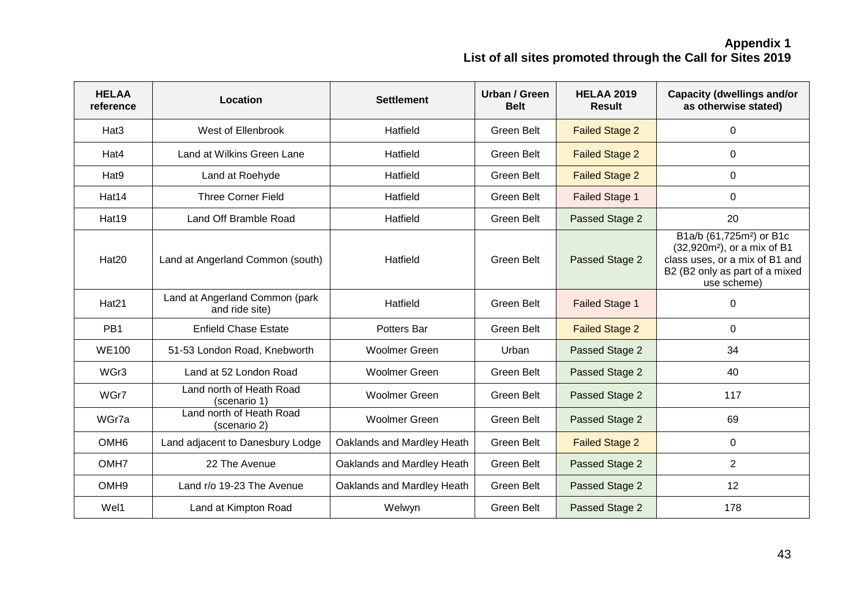| <b>HELAA</b><br>reference | Location                                         | <b>Settlement</b>          | Urban / Green<br><b>Belt</b> | <b>HELAA 2019</b><br><b>Result</b> | <b>Capacity (dwellings and/or</b><br>as otherwise stated)                                                                                                          |
|---------------------------|--------------------------------------------------|----------------------------|------------------------------|------------------------------------|--------------------------------------------------------------------------------------------------------------------------------------------------------------------|
| Hat <sub>3</sub>          | West of Ellenbrook                               | Hatfield                   | Green Belt                   | <b>Failed Stage 2</b>              | 0                                                                                                                                                                  |
| Hat4                      | Land at Wilkins Green Lane                       | Hatfield                   | Green Belt                   | <b>Failed Stage 2</b>              | $\Omega$                                                                                                                                                           |
| Hat <sub>9</sub>          | Land at Roehyde                                  | Hatfield                   | Green Belt                   | <b>Failed Stage 2</b>              | 0                                                                                                                                                                  |
| Hat14                     | <b>Three Corner Field</b>                        | Hatfield                   | Green Belt                   | <b>Failed Stage 1</b>              | 0                                                                                                                                                                  |
| Hat <sub>19</sub>         | Land Off Bramble Road                            | Hatfield                   | Green Belt                   | Passed Stage 2                     | 20                                                                                                                                                                 |
| Hat20                     | Land at Angerland Common (south)                 | Hatfield                   | Green Belt                   | Passed Stage 2                     | B1a/b (61,725m <sup>2</sup> ) or B1c<br>(32,920m <sup>2</sup> ), or a mix of B1<br>class uses, or a mix of B1 and<br>B2 (B2 only as part of a mixed<br>use scheme) |
| Hat <sub>21</sub>         | Land at Angerland Common (park<br>and ride site) | Hatfield                   | Green Belt                   | <b>Failed Stage 1</b>              | 0                                                                                                                                                                  |
| PB1                       | <b>Enfield Chase Estate</b>                      | Potters Bar                | Green Belt                   | <b>Failed Stage 2</b>              | 0                                                                                                                                                                  |
| <b>WE100</b>              | 51-53 London Road, Knebworth                     | <b>Woolmer Green</b>       | Urban                        | Passed Stage 2                     | 34                                                                                                                                                                 |
| WGr3                      | Land at 52 London Road                           | <b>Woolmer Green</b>       | Green Belt                   | Passed Stage 2                     | 40                                                                                                                                                                 |
| WGr7                      | Land north of Heath Road<br>(scenario 1)         | <b>Woolmer Green</b>       | Green Belt                   | Passed Stage 2                     | 117                                                                                                                                                                |
| WGr7a                     | Land north of Heath Road<br>(scenario 2)         | <b>Woolmer Green</b>       | <b>Green Belt</b>            | Passed Stage 2                     | 69                                                                                                                                                                 |
| OMH <sub>6</sub>          | Land adjacent to Danesbury Lodge                 | Oaklands and Mardley Heath | Green Belt                   | <b>Failed Stage 2</b>              | 0                                                                                                                                                                  |
| OMH <sub>7</sub>          | 22 The Avenue                                    | Oaklands and Mardley Heath | Green Belt                   | Passed Stage 2                     | $\overline{2}$                                                                                                                                                     |
| OMH <sub>9</sub>          | Land r/o 19-23 The Avenue                        | Oaklands and Mardley Heath | Green Belt                   | Passed Stage 2                     | 12                                                                                                                                                                 |
| Wel1                      | Land at Kimpton Road                             | Welwyn                     | Green Belt                   | Passed Stage 2                     | 178                                                                                                                                                                |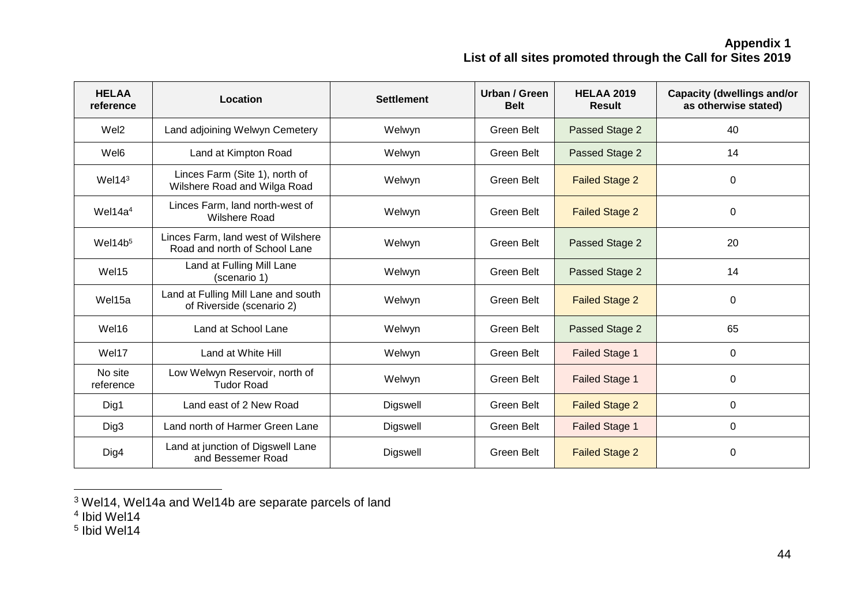| <b>HELAA</b><br>reference | Location                                                            | <b>Settlement</b> | Urban / Green<br><b>Belt</b> | <b>HELAA 2019</b><br><b>Result</b> | <b>Capacity (dwellings and/or</b><br>as otherwise stated) |
|---------------------------|---------------------------------------------------------------------|-------------------|------------------------------|------------------------------------|-----------------------------------------------------------|
| Wel <sub>2</sub>          | Land adjoining Welwyn Cemetery                                      | Welwyn            | Green Belt                   | Passed Stage 2                     | 40                                                        |
| Wel6                      | Land at Kimpton Road                                                | Welwyn            | Green Belt                   | Passed Stage 2                     | 14                                                        |
| Wel14 <sup>3</sup>        | Linces Farm (Site 1), north of<br>Wilshere Road and Wilga Road      | Welwyn            | Green Belt                   | <b>Failed Stage 2</b>              | 0                                                         |
| Wel14 $a4$                | Linces Farm, land north-west of<br><b>Wilshere Road</b>             | Welwyn            | Green Belt                   | <b>Failed Stage 2</b>              | 0                                                         |
| Wel14 $b5$                | Linces Farm, land west of Wilshere<br>Road and north of School Lane | Welwyn            | Green Belt                   | Passed Stage 2                     | 20                                                        |
| Wel15                     | Land at Fulling Mill Lane<br>(scenario 1)                           | Welwyn            | Green Belt                   | Passed Stage 2                     | 14                                                        |
| Wel15a                    | Land at Fulling Mill Lane and south<br>of Riverside (scenario 2)    | Welwyn            | Green Belt                   | <b>Failed Stage 2</b>              | 0                                                         |
| Wel16                     | Land at School Lane                                                 | Welwyn            | <b>Green Belt</b>            | Passed Stage 2                     | 65                                                        |
| Wel17                     | Land at White Hill                                                  | Welwyn            | Green Belt                   | <b>Failed Stage 1</b>              | 0                                                         |
| No site<br>reference      | Low Welwyn Reservoir, north of<br><b>Tudor Road</b>                 | Welwyn            | Green Belt                   | <b>Failed Stage 1</b>              | 0                                                         |
| Dig1                      | Land east of 2 New Road                                             | Digswell          | Green Belt                   | <b>Failed Stage 2</b>              | 0                                                         |
| Dig3                      | Land north of Harmer Green Lane                                     | Digswell          | Green Belt                   | <b>Failed Stage 1</b>              | 0                                                         |
| Dig4                      | Land at junction of Digswell Lane<br>and Bessemer Road              | Digswell          | Green Belt                   | <b>Failed Stage 2</b>              | 0                                                         |

<sup>&</sup>lt;sup>3</sup> Wel14, Wel14a and Wel14b are separate parcels of land

 $\overline{a}$ 

<sup>4</sup> Ibid Wel14

<sup>5</sup> Ibid Wel14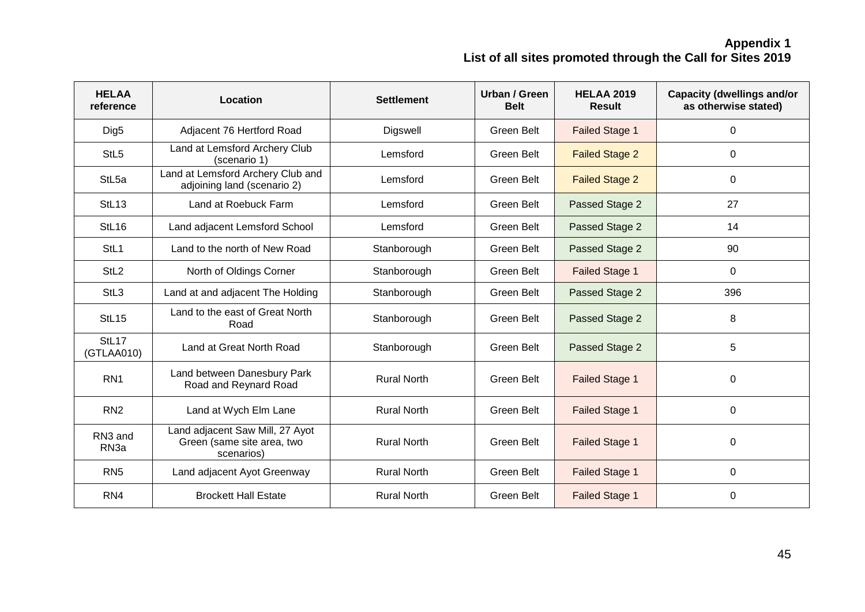| <b>HELAA</b><br>reference       | Location                                                                    | <b>Settlement</b>  | Urban / Green<br><b>Belt</b> | <b>HELAA 2019</b><br><b>Result</b> | <b>Capacity (dwellings and/or</b><br>as otherwise stated) |
|---------------------------------|-----------------------------------------------------------------------------|--------------------|------------------------------|------------------------------------|-----------------------------------------------------------|
| Dig <sub>5</sub>                | Adjacent 76 Hertford Road                                                   | Digswell           | Green Belt                   | <b>Failed Stage 1</b>              | 0                                                         |
| StL <sub>5</sub>                | Land at Lemsford Archery Club<br>(scenario 1)                               | Lemsford           | Green Belt                   | <b>Failed Stage 2</b>              | 0                                                         |
| StL <sub>5a</sub>               | Land at Lemsford Archery Club and<br>adjoining land (scenario 2)            | Lemsford           | Green Belt                   | <b>Failed Stage 2</b>              | 0                                                         |
| StL <sub>13</sub>               | Land at Roebuck Farm                                                        | Lemsford           | Green Belt                   | Passed Stage 2                     | 27                                                        |
| StL <sub>16</sub>               | Land adjacent Lemsford School                                               | Lemsford           | Green Belt                   | Passed Stage 2                     | 14                                                        |
| StL1                            | Land to the north of New Road                                               | Stanborough        | <b>Green Belt</b>            | Passed Stage 2                     | 90                                                        |
| StL <sub>2</sub>                | North of Oldings Corner                                                     | Stanborough        | <b>Green Belt</b>            | <b>Failed Stage 1</b>              | 0                                                         |
| StL <sub>3</sub>                | Land at and adjacent The Holding                                            | Stanborough        | Green Belt                   | Passed Stage 2                     | 396                                                       |
| StL <sub>15</sub>               | Land to the east of Great North<br>Road                                     | Stanborough        | Green Belt                   | Passed Stage 2                     | 8                                                         |
| StL <sub>17</sub><br>(GTLAA010) | Land at Great North Road                                                    | Stanborough        | Green Belt                   | Passed Stage 2                     | 5                                                         |
| RN <sub>1</sub>                 | Land between Danesbury Park<br>Road and Reynard Road                        | <b>Rural North</b> | <b>Green Belt</b>            | <b>Failed Stage 1</b>              | 0                                                         |
| RN <sub>2</sub>                 | Land at Wych Elm Lane                                                       | <b>Rural North</b> | Green Belt                   | <b>Failed Stage 1</b>              | 0                                                         |
| RN3 and<br>RN <sub>3</sub> a    | Land adjacent Saw Mill, 27 Ayot<br>Green (same site area, two<br>scenarios) | <b>Rural North</b> | Green Belt                   | <b>Failed Stage 1</b>              | 0                                                         |
| RN <sub>5</sub>                 | Land adjacent Ayot Greenway                                                 | <b>Rural North</b> | Green Belt                   | <b>Failed Stage 1</b>              | 0                                                         |
| RN <sub>4</sub>                 | <b>Brockett Hall Estate</b>                                                 | <b>Rural North</b> | <b>Green Belt</b>            | <b>Failed Stage 1</b>              | 0                                                         |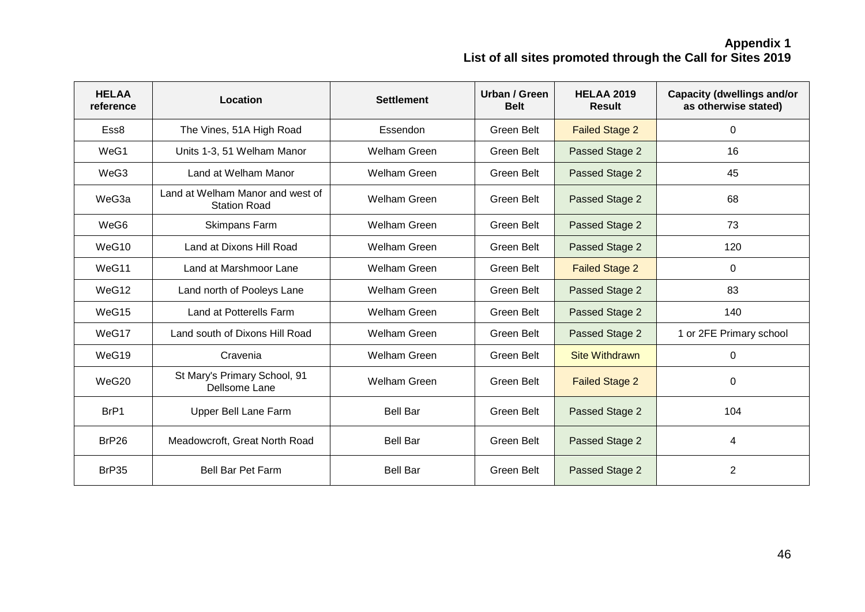| <b>HELAA</b><br>reference | Location                                                | <b>Settlement</b>   | Urban / Green<br><b>Belt</b> | <b>HELAA 2019</b><br><b>Result</b> | <b>Capacity (dwellings and/or</b><br>as otherwise stated) |
|---------------------------|---------------------------------------------------------|---------------------|------------------------------|------------------------------------|-----------------------------------------------------------|
| Ess8                      | The Vines, 51A High Road                                | Essendon            | Green Belt                   | <b>Failed Stage 2</b>              | 0                                                         |
| WeG1                      | Units 1-3, 51 Welham Manor                              | Welham Green        | Green Belt                   | Passed Stage 2                     | 16                                                        |
| WeG3                      | Land at Welham Manor                                    | Welham Green        | Green Belt                   | Passed Stage 2                     | 45                                                        |
| WeG3a                     | Land at Welham Manor and west of<br><b>Station Road</b> | Welham Green        | Green Belt                   | Passed Stage 2                     | 68                                                        |
| WeG6                      | <b>Skimpans Farm</b>                                    | Welham Green        | Green Belt                   | Passed Stage 2                     | 73                                                        |
| WeG10                     | Land at Dixons Hill Road                                | <b>Welham Green</b> | Green Belt                   | Passed Stage 2                     | 120                                                       |
| WeG11                     | Land at Marshmoor Lane                                  | <b>Welham Green</b> | Green Belt                   | <b>Failed Stage 2</b>              | $\Omega$                                                  |
| WeG12                     | Land north of Pooleys Lane                              | <b>Welham Green</b> | Green Belt                   | Passed Stage 2                     | 83                                                        |
| WeG15                     | Land at Potterells Farm                                 | <b>Welham Green</b> | Green Belt                   | Passed Stage 2                     | 140                                                       |
| WeG17                     | Land south of Dixons Hill Road                          | <b>Welham Green</b> | Green Belt                   | Passed Stage 2                     | 1 or 2FE Primary school                                   |
| WeG19                     | Cravenia                                                | <b>Welham Green</b> | Green Belt                   | <b>Site Withdrawn</b>              | 0                                                         |
| WeG20                     | St Mary's Primary School, 91<br>Dellsome Lane           | <b>Welham Green</b> | Green Belt                   | <b>Failed Stage 2</b>              | 0                                                         |
| BrP1                      | Upper Bell Lane Farm                                    | <b>Bell Bar</b>     | Green Belt                   | Passed Stage 2                     | 104                                                       |
| BrP26                     | Meadowcroft, Great North Road                           | <b>Bell Bar</b>     | <b>Green Belt</b>            | Passed Stage 2                     | 4                                                         |
| BrP35                     | <b>Bell Bar Pet Farm</b>                                | <b>Bell Bar</b>     | <b>Green Belt</b>            | Passed Stage 2                     | $\overline{2}$                                            |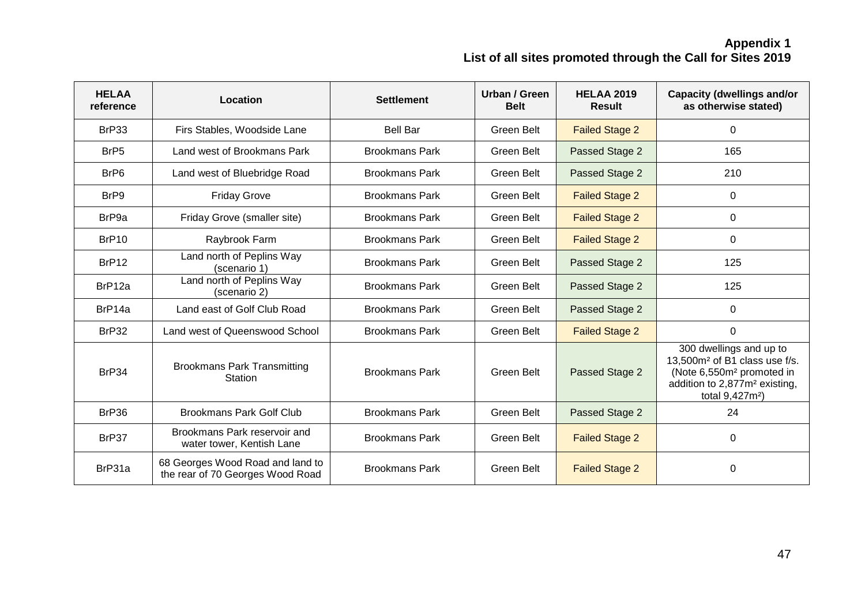| <b>HELAA</b><br>reference | Location                                                             | <b>Settlement</b>     | Urban / Green<br><b>Belt</b> | <b>HELAA 2019</b><br><b>Result</b> | <b>Capacity (dwellings and/or</b><br>as otherwise stated)                                                                                                                                 |
|---------------------------|----------------------------------------------------------------------|-----------------------|------------------------------|------------------------------------|-------------------------------------------------------------------------------------------------------------------------------------------------------------------------------------------|
| BrP33                     | Firs Stables, Woodside Lane                                          | <b>Bell Bar</b>       | Green Belt                   | <b>Failed Stage 2</b>              | $\Omega$                                                                                                                                                                                  |
| BrP <sub>5</sub>          | Land west of Brookmans Park                                          | <b>Brookmans Park</b> | Green Belt                   | Passed Stage 2                     | 165                                                                                                                                                                                       |
| BrP <sub>6</sub>          | Land west of Bluebridge Road                                         | <b>Brookmans Park</b> | Green Belt                   | Passed Stage 2                     | 210                                                                                                                                                                                       |
| BrP9                      | <b>Friday Grove</b>                                                  | <b>Brookmans Park</b> | Green Belt                   | <b>Failed Stage 2</b>              | 0                                                                                                                                                                                         |
| BrP9a                     | Friday Grove (smaller site)                                          | <b>Brookmans Park</b> | Green Belt                   | <b>Failed Stage 2</b>              | 0                                                                                                                                                                                         |
| BrP10                     | Raybrook Farm                                                        | <b>Brookmans Park</b> | Green Belt                   | <b>Failed Stage 2</b>              | 0                                                                                                                                                                                         |
| BrP12                     | Land north of Peplins Way<br>(scenario 1)                            | <b>Brookmans Park</b> | Green Belt                   | Passed Stage 2                     | 125                                                                                                                                                                                       |
| BrP12a                    | Land north of Peplins Way<br>(scenario 2)                            | <b>Brookmans Park</b> | Green Belt                   | Passed Stage 2                     | 125                                                                                                                                                                                       |
| BrP14a                    | Land east of Golf Club Road                                          | <b>Brookmans Park</b> | Green Belt                   | Passed Stage 2                     | 0                                                                                                                                                                                         |
| BrP32                     | Land west of Queenswood School                                       | <b>Brookmans Park</b> | Green Belt                   | <b>Failed Stage 2</b>              | 0                                                                                                                                                                                         |
| BrP34                     | <b>Brookmans Park Transmitting</b><br><b>Station</b>                 | <b>Brookmans Park</b> | Green Belt                   | Passed Stage 2                     | 300 dwellings and up to<br>13,500m <sup>2</sup> of B1 class use f/s.<br>(Note 6,550m <sup>2</sup> promoted in<br>addition to 2,877m <sup>2</sup> existing,<br>total 9,427m <sup>2</sup> ) |
| BrP36                     | <b>Brookmans Park Golf Club</b>                                      | <b>Brookmans Park</b> | Green Belt                   | Passed Stage 2                     | 24                                                                                                                                                                                        |
| BrP37                     | Brookmans Park reservoir and<br>water tower, Kentish Lane            | <b>Brookmans Park</b> | <b>Green Belt</b>            | <b>Failed Stage 2</b>              | 0                                                                                                                                                                                         |
| BrP31a                    | 68 Georges Wood Road and land to<br>the rear of 70 Georges Wood Road | <b>Brookmans Park</b> | Green Belt                   | <b>Failed Stage 2</b>              | 0                                                                                                                                                                                         |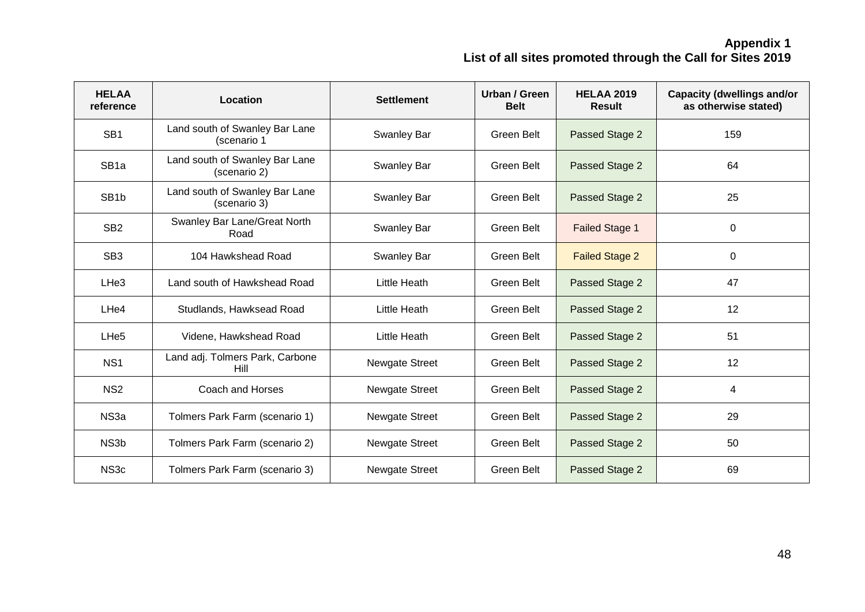| <b>HELAA</b><br>reference | Location                                       | <b>Settlement</b>     | Urban / Green<br><b>Belt</b> | <b>HELAA 2019</b><br><b>Result</b> | <b>Capacity (dwellings and/or</b><br>as otherwise stated) |
|---------------------------|------------------------------------------------|-----------------------|------------------------------|------------------------------------|-----------------------------------------------------------|
| SB <sub>1</sub>           | Land south of Swanley Bar Lane<br>(scenario 1  | Swanley Bar           | Green Belt                   | Passed Stage 2                     | 159                                                       |
| SB <sub>1a</sub>          | Land south of Swanley Bar Lane<br>(scenario 2) | Swanley Bar           | Green Belt                   | Passed Stage 2                     | 64                                                        |
| SB <sub>1b</sub>          | Land south of Swanley Bar Lane<br>(scenario 3) | Swanley Bar           | Green Belt                   | Passed Stage 2                     | 25                                                        |
| SB <sub>2</sub>           | Swanley Bar Lane/Great North<br>Road           | Swanley Bar           | Green Belt                   | <b>Failed Stage 1</b>              | 0                                                         |
| SB <sub>3</sub>           | 104 Hawkshead Road                             | Swanley Bar           | Green Belt                   | <b>Failed Stage 2</b>              | $\Omega$                                                  |
| LHe <sub>3</sub>          | Land south of Hawkshead Road                   | Little Heath          | Green Belt                   | Passed Stage 2                     | 47                                                        |
| LHe4                      | Studlands, Hawksead Road                       | Little Heath          | Green Belt                   | <b>Passed Stage 2</b>              | 12                                                        |
| LHe <sub>5</sub>          | Videne, Hawkshead Road                         | Little Heath          | Green Belt                   | Passed Stage 2                     | 51                                                        |
| NS <sub>1</sub>           | Land adj. Tolmers Park, Carbone<br>Hill        | <b>Newgate Street</b> | Green Belt                   | Passed Stage 2                     | 12                                                        |
| NS <sub>2</sub>           | Coach and Horses                               | <b>Newgate Street</b> | Green Belt                   | Passed Stage 2                     | 4                                                         |
| NS3a                      | Tolmers Park Farm (scenario 1)                 | <b>Newgate Street</b> | Green Belt                   | Passed Stage 2                     | 29                                                        |
| NS3b                      | Tolmers Park Farm (scenario 2)                 | <b>Newgate Street</b> | Green Belt                   | Passed Stage 2                     | 50                                                        |
| NS <sub>3c</sub>          | Tolmers Park Farm (scenario 3)                 | <b>Newgate Street</b> | Green Belt                   | Passed Stage 2                     | 69                                                        |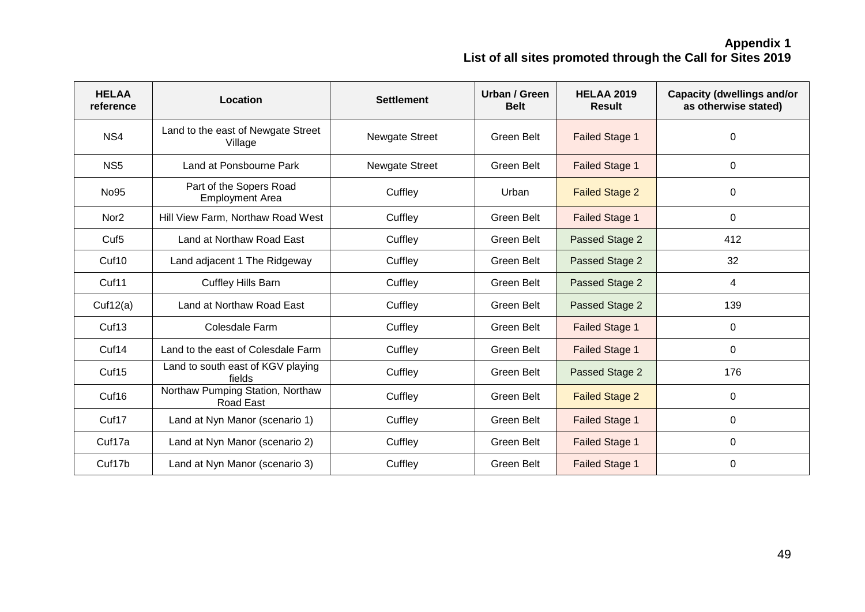| <b>HELAA</b><br>reference | Location                                          | <b>Settlement</b>     | Urban / Green<br><b>Belt</b> | <b>HELAA 2019</b><br><b>Result</b> | <b>Capacity (dwellings and/or</b><br>as otherwise stated) |
|---------------------------|---------------------------------------------------|-----------------------|------------------------------|------------------------------------|-----------------------------------------------------------|
| NS4                       | Land to the east of Newgate Street<br>Village     | <b>Newgate Street</b> | Green Belt                   | <b>Failed Stage 1</b>              | $\Omega$                                                  |
| NS <sub>5</sub>           | Land at Ponsbourne Park                           | <b>Newgate Street</b> | Green Belt                   | <b>Failed Stage 1</b>              | 0                                                         |
| <b>No95</b>               | Part of the Sopers Road<br><b>Employment Area</b> | Cuffley               | Urban                        | <b>Failed Stage 2</b>              | 0                                                         |
| Nor <sub>2</sub>          | Hill View Farm, Northaw Road West                 | Cuffley               | <b>Green Belt</b>            | <b>Failed Stage 1</b>              | 0                                                         |
| Cuf <sub>5</sub>          | Land at Northaw Road East                         | Cuffley               | Green Belt                   | Passed Stage 2                     | 412                                                       |
| Cuf10                     | Land adjacent 1 The Ridgeway                      | Cuffley               | Green Belt                   | Passed Stage 2                     | 32                                                        |
| Cuf <sub>11</sub>         | <b>Cuffley Hills Barn</b>                         | Cuffley               | Green Belt                   | Passed Stage 2                     | 4                                                         |
| Cuf12(a)                  | Land at Northaw Road East                         | Cuffley               | Green Belt                   | Passed Stage 2                     | 139                                                       |
| Cuf13                     | Colesdale Farm                                    | Cuffley               | Green Belt                   | <b>Failed Stage 1</b>              | 0                                                         |
| Cuf14                     | Land to the east of Colesdale Farm                | Cuffley               | Green Belt                   | Failed Stage 1                     | 0                                                         |
| Cuf15                     | Land to south east of KGV playing<br>fields       | Cuffley               | Green Belt                   | Passed Stage 2                     | 176                                                       |
| Cuf16                     | Northaw Pumping Station, Northaw<br>Road East     | Cuffley               | <b>Green Belt</b>            | <b>Failed Stage 2</b>              | 0                                                         |
| Cuf17                     | Land at Nyn Manor (scenario 1)                    | Cuffley               | Green Belt                   | <b>Failed Stage 1</b>              | 0                                                         |
| Cuf17a                    | Land at Nyn Manor (scenario 2)                    | Cuffley               | Green Belt                   | <b>Failed Stage 1</b>              | 0                                                         |
| Cuf17b                    | Land at Nyn Manor (scenario 3)                    | Cuffley               | Green Belt                   | <b>Failed Stage 1</b>              | $\Omega$                                                  |